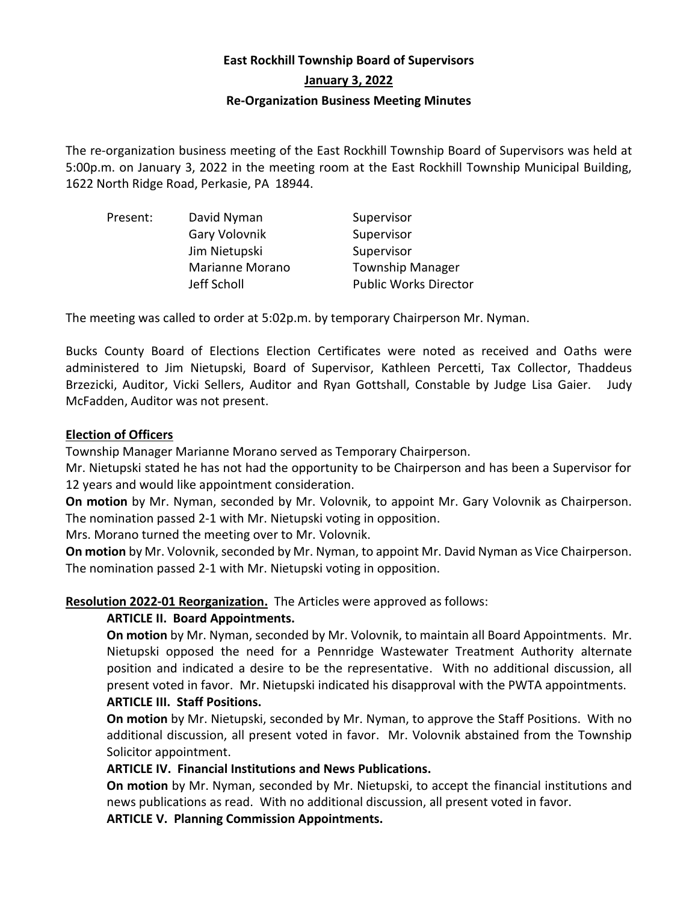# **East Rockhill Township Board of Supervisors**

**January 3, 2022**

#### **Re-Organization Business Meeting Minutes**

The re-organization business meeting of the East Rockhill Township Board of Supervisors was held at 5:00p.m. on January 3, 2022 in the meeting room at the East Rockhill Township Municipal Building, 1622 North Ridge Road, Perkasie, PA 18944.

| Present: | David Nyman            | Supervisor                   |
|----------|------------------------|------------------------------|
|          | Gary Volovnik          | Supervisor                   |
|          | Jim Nietupski          | Supervisor                   |
|          | <b>Marianne Morano</b> | <b>Township Manager</b>      |
|          | Jeff Scholl            | <b>Public Works Director</b> |

The meeting was called to order at 5:02p.m. by temporary Chairperson Mr. Nyman.

Bucks County Board of Elections Election Certificates were noted as received and Oaths were administered to Jim Nietupski, Board of Supervisor, Kathleen Percetti, Tax Collector, Thaddeus Brzezicki, Auditor, Vicki Sellers, Auditor and Ryan Gottshall, Constable by Judge Lisa Gaier. Judy McFadden, Auditor was not present.

#### **Election of Officers**

Township Manager Marianne Morano served as Temporary Chairperson.

Mr. Nietupski stated he has not had the opportunity to be Chairperson and has been a Supervisor for 12 years and would like appointment consideration.

**On motion** by Mr. Nyman, seconded by Mr. Volovnik, to appoint Mr. Gary Volovnik as Chairperson. The nomination passed 2-1 with Mr. Nietupski voting in opposition.

Mrs. Morano turned the meeting over to Mr. Volovnik.

**On motion** by Mr. Volovnik, seconded by Mr. Nyman, to appoint Mr. David Nyman as Vice Chairperson. The nomination passed 2-1 with Mr. Nietupski voting in opposition.

**Resolution 2022-01 Reorganization.** The Articles were approved as follows:

# **ARTICLE II. Board Appointments.**

**On motion** by Mr. Nyman, seconded by Mr. Volovnik, to maintain all Board Appointments. Mr. Nietupski opposed the need for a Pennridge Wastewater Treatment Authority alternate position and indicated a desire to be the representative. With no additional discussion, all present voted in favor. Mr. Nietupski indicated his disapproval with the PWTA appointments. **ARTICLE III. Staff Positions.** 

**On motion** by Mr. Nietupski, seconded by Mr. Nyman, to approve the Staff Positions. With no additional discussion, all present voted in favor. Mr. Volovnik abstained from the Township Solicitor appointment.

#### **ARTICLE IV. Financial Institutions and News Publications.**

**On motion** by Mr. Nyman, seconded by Mr. Nietupski, to accept the financial institutions and news publications as read. With no additional discussion, all present voted in favor.

**ARTICLE V. Planning Commission Appointments.**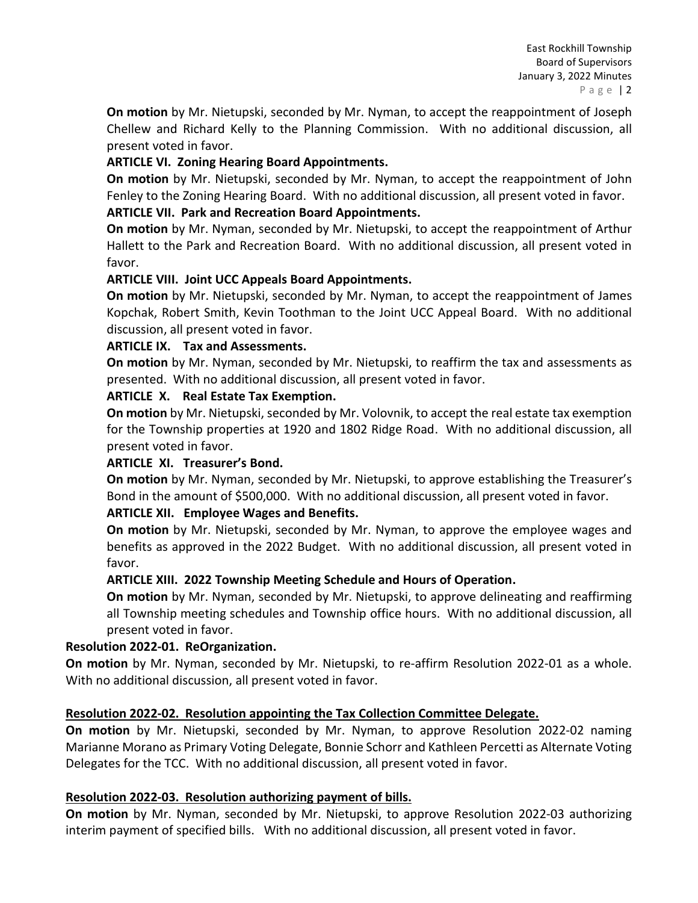**On motion** by Mr. Nietupski, seconded by Mr. Nyman, to accept the reappointment of Joseph Chellew and Richard Kelly to the Planning Commission. With no additional discussion, all present voted in favor.

# **ARTICLE VI. Zoning Hearing Board Appointments.**

**On motion** by Mr. Nietupski, seconded by Mr. Nyman, to accept the reappointment of John Fenley to the Zoning Hearing Board. With no additional discussion, all present voted in favor.

## **ARTICLE VII. Park and Recreation Board Appointments.**

**On motion** by Mr. Nyman, seconded by Mr. Nietupski, to accept the reappointment of Arthur Hallett to the Park and Recreation Board. With no additional discussion, all present voted in favor.

## **ARTICLE VIII. Joint UCC Appeals Board Appointments.**

**On motion** by Mr. Nietupski, seconded by Mr. Nyman, to accept the reappointment of James Kopchak, Robert Smith, Kevin Toothman to the Joint UCC Appeal Board. With no additional discussion, all present voted in favor.

## **ARTICLE IX. Tax and Assessments.**

**On motion** by Mr. Nyman, seconded by Mr. Nietupski, to reaffirm the tax and assessments as presented. With no additional discussion, all present voted in favor.

## **ARTICLE X. Real Estate Tax Exemption.**

**On motion** by Mr. Nietupski, seconded by Mr. Volovnik, to accept the real estate tax exemption for the Township properties at 1920 and 1802 Ridge Road. With no additional discussion, all present voted in favor.

#### **ARTICLE XI. Treasurer's Bond.**

**On motion** by Mr. Nyman, seconded by Mr. Nietupski, to approve establishing the Treasurer's Bond in the amount of \$500,000. With no additional discussion, all present voted in favor.

# **ARTICLE XII. Employee Wages and Benefits.**

**On motion** by Mr. Nietupski, seconded by Mr. Nyman, to approve the employee wages and benefits as approved in the 2022 Budget. With no additional discussion, all present voted in favor.

# **ARTICLE XIII. 2022 Township Meeting Schedule and Hours of Operation.**

**On motion** by Mr. Nyman, seconded by Mr. Nietupski, to approve delineating and reaffirming all Township meeting schedules and Township office hours. With no additional discussion, all present voted in favor.

# **Resolution 2022-01. ReOrganization.**

**On motion** by Mr. Nyman, seconded by Mr. Nietupski, to re-affirm Resolution 2022-01 as a whole. With no additional discussion, all present voted in favor.

#### **Resolution 2022-02. Resolution appointing the Tax Collection Committee Delegate.**

**On motion** by Mr. Nietupski, seconded by Mr. Nyman, to approve Resolution 2022-02 naming Marianne Morano as Primary Voting Delegate, Bonnie Schorr and Kathleen Percetti as Alternate Voting Delegates for the TCC. With no additional discussion, all present voted in favor.

#### **Resolution 2022-03. Resolution authorizing payment of bills.**

**On motion** by Mr. Nyman, seconded by Mr. Nietupski, to approve Resolution 2022-03 authorizing interim payment of specified bills. With no additional discussion, all present voted in favor.